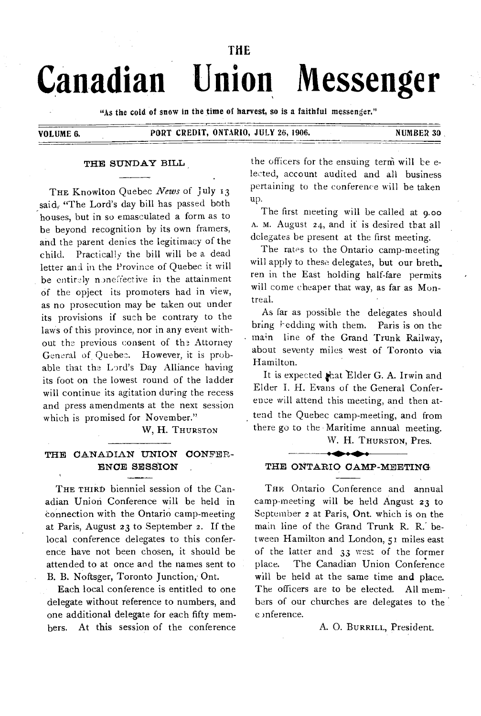# THE **Canadian Union Messenger**

"As the cold of snow in the time of harvest, so is a faithful messenger."

VOLUME 6. PORT CREDIT, ONTARIO, JULY 26, 1906. NUMBER 3D

#### THE SUNDAY BILL

THE Knowlton Quebec *News* of July 13 said, "The Lord's day bill has passed both houses, but in so emasculated a form as to be beyond recognition by its own framers, and the parent denies the legitimacy of the child. Practically the bill will be a dead letter and in the Province of Quebec it will be entirely noneffective in the attainment Of the opject its promoters had in view, as no prosecution may be taken out under its provisions if such be contrary to the laws of this province, nor in any event without the previous consent of the Attorney General of.Quebec. However, it is probable that the Lord's Day Alliance having its foot on the lowest round of the ladder will continue its agitation during the recess and press amendments at the next session which is promised for November."

W, H. THURSTON

# THE CANADIAN UNION CONFER-ENCE SESSION

THE THIRD bienniel session of the Canadian Union Conference will be held in connection with the Ontario camp-meeting at Paris, August 23 to September 2. If the local conference delegates to this conference have not been chosen, it should be attended to at once and the names sent to B. B. Noftsger, Toronto Junction, Ont.

Each local conference is entitled to one delegate without reference to numbers, and one additional delegate for each fifty members. At this session of the conference the officers for the ensuing term will be elected, account audited and all business pertaining to the conference will be taken up.

The first meeting will be called at 9.00 A. M. August 24, and it is desired that all delegates be present at the first meeting.

The rates to the Ontario camp-meeting will apply to these delegates, but our breth. ren in the East holding half-fare permits will come cheaper that way, as far as Montreal.

As far as possible the delegates should bring **hedding** with them. Paris is on the main line of the Grand Trunk Railway, about seventy miles west of Toronto via Hamilton.

It is expected that Elder G. A. Irwin and Elder I. H. Evans of the General Conference will attend this meeting, and then attend the Quebec camp-meeting, and from there go to the • Maritime annual meeting.

W. H. THURSTON, Pres.

## $\overline{\phantom{a}}$ THE ONTARIO CAMP-MEETING

THE Ontario Conference and annual camp-meeting will be held Angust 23 to September 2 at Paris, Ont. which is on the main line of the Grand Trunk R. R.' between Hamilton and London, 51 miles east of the latter and 33 west of the former place. The Canadian Union Conference will be held at the same time and place. The officers are to be elected. All members of our churches are delegates to the )nference.

## A. 0. BURRILL, President.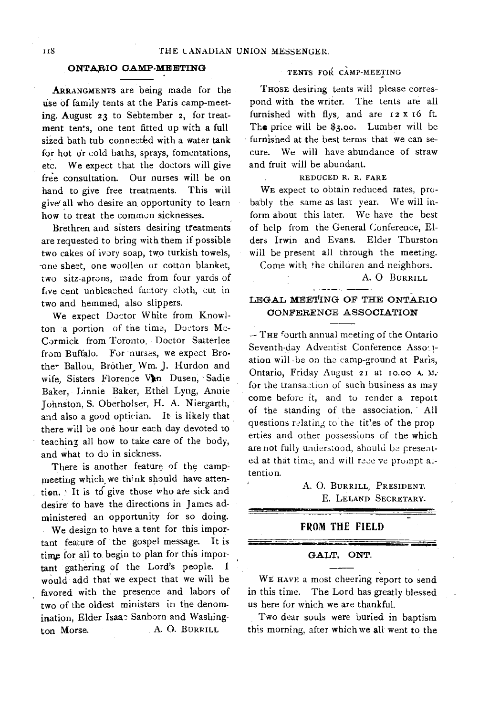## **ONTARIO CAMP-MEETING**

ARRANGMENTS are being made for the use of family tents at the Paris camp-meeting. August 23 to Sebtember 2, for treatment tents, one tent fitted up with a full sized bath tub connected with a water tank for hot or cold baths, sprays, fomentations, etc. We expect that the doctors will give free consultation. Our nurses will be on hand to give free treatments. This will give' all who desire an opportunity to learn how to treat the common sicknesses.

Brethren and sisters desiring treatments are requested to bring with them if possible two cakes of ivory soap, two turkish towels, -one sheet, one woollen or cotton blanket, two sitz-aprons, made from four yards of five cent unbleached factory cloth, cut in two and hemmed, also slippers.

We expect Doctor White from Knowlton a portion of the time, Doctors  $Mc$ -Cormick from Toronto, Doctor Satterlee from Buffalo. For nurses, we expect Brother Ballou, Brother Wm. J. Hurdon and wife, Sisters Florence Von Dusen, Sadie Baker, Linnie Baker, Ethel Lyng, Annie Johnston, S. Oberholser, H. A. Niergarth, and also a good optician. It is likely that there will be one hour each day devoted to teaching all how to take care of the body, and what to do in sickness.

There is another feature of the campmeeting which we think should have attention. It is to give those who are sick and desire to have the directions in James administered an opportunity for so doing. We design to have a tent for this important feature of the gospel message. It is time for all to begin to plan for this important gathering of the Lord's people. I would add that we expect that we will be favored with the presence and labors of two of the oldest ministers in the denomination, Elder Isaac Sanborn and Washington Morse. A. O. BURRILL

# TENTS FOR CAMP-MEETING

THOSE desiring tents will please correspond with the writer. The tents are all furnished with flys, and are I2 X t6 ft. The price will be \$3.00. Lumber will be furnished at the best terms that we can secure. We will have abundance of straw and fruit will be abundant.

## REDUCED R. R. FARE

WE expect to obtain reduced rates, probably the same as last year. We will inform about this later. We have the best of help from the General Conference, Elders Irwin and Evans. Elder Thurston will be present all through the meeting.

Come with the children and neighbors.

A. 0 BURRILL

# **LEGAL MEETING OF THE ONTARIO CONFERENCE ASSOCIATION**

 $-$  THE fourth annual meeting of the Ontario Seventh-day Adventist Conference Association will -be on the camp-ground at Paris, Ontario, Friday August 2I at io.00 A. M. for the transaction of such business as may come before it, and to render a report of the standing of the association. All questions relating to the titles of the prop erties and other possessions of the which are not fully understood, should be presented at that time, and will receive prompt attention.

# A. 0. BURRILL, PRESIDENT. E. LELAND SECRETARY.

**icam 1611••••110aa** 

# **FROM THE FIELD**

#### **GALT, ONT.**

WE HAVE a most cheering report to send in this time. The Lord has greatly blessed us here for which we are thankful.

Two dear souls were buried in baptism this morning, after which we **all** went to the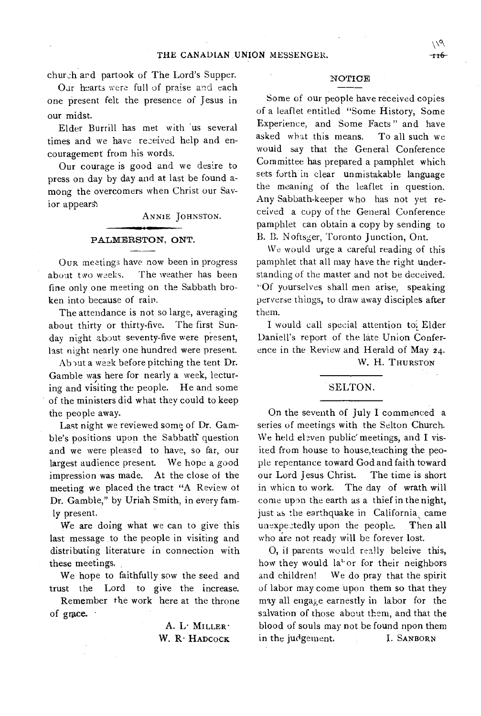church and partook of The Lord's Supper.

Oar hearts were full of praise and each one present felt the presence of Jesus in our midst.

Elder Burrill has met with 'us several times and we have received help and encouragement from his words.

Our courage is good and we desire to press on day by day and at last be found among the overcomers when Christ our Savior appears':

ANNIE JOHNSTON.

## PALMERSTON, ONT.

OUR meetings have now been in progress about two weeks. The weather has been fine only one meeting on the Sabbath broken into because of rain.

The attendance is not so large, averaging about thirty or thirty-five. The first Sunday night about seventy-five were present, last night nearly one hundred were present.

About a week before pitching the tent Dr. Gamble was here for nearly a week, lecturing and visiting the people. He and some of the ministers did what they could to keep the people away.

Last night we reviewed some of Dr. Gamble's positions upon the Sabbath question and we were pleased to have, so far, our largest audience present. We hope a good impression was made. At the close of the meeting we placed the tract "A Review of Dr. Gamble," by Uriah Smith, in every famly present.

We are doing what we can to give this last message to the people in visiting and distributing literature in connection with these meetings.

We hope to faithfully sow the seed and trust the Lord to give the increase.

Remember the work here at the throne of grace.

> A. L. MILLER<sup>.</sup> W. R. HADCOCK

## NOTICE

Some of our people have received copies of a leaflet entitled "Some History, Some Experience, and Some Facts " and have asked what this means. To all such we would say that the General Conference Committee has prepared a pamphlet which sets forth in clear unmistakable language the meaning of the leaflet in question. Any Sabbath-keeper who has not yet received a copy of the General Conference pamphlet can obtain a copy by sending to B. B. Noftsger, Toronto Junction, Ont.

We would urge a careful reading of this pamphlet that all may have the right understanding of the matter and not be deceived. "Of yourselves shall men arise, speaking perverse things, to draw away disciples after them.

I would call special attention toi Elder Daniell's report of the late Union Conference in the Review and Herald of May 24. W. H. THURSTON

## SELTON.

On the seventh of July I commenced a series of meetings with the Selton Church. We held eleven public' meetings, and I visited from house to house,teaching the people repentance toward God and faith toward our Lord Jesus Christ. The time is short in which to work. The day of wrath will come upon the earth as a thief in the night, just as the earthquake in California came unexpectedly upon the people. Then all who are not ready will be forever lost.

0, if parents would really beleive this, how they would la<sup>tor</sup> for their neighbors and children! We do pray that the spirit of labor may come upon them so that they may all engage earnestly in labor for the salvation of those about them, and that the blood of souls may not be found npon them in the judgement. I. SANBORN